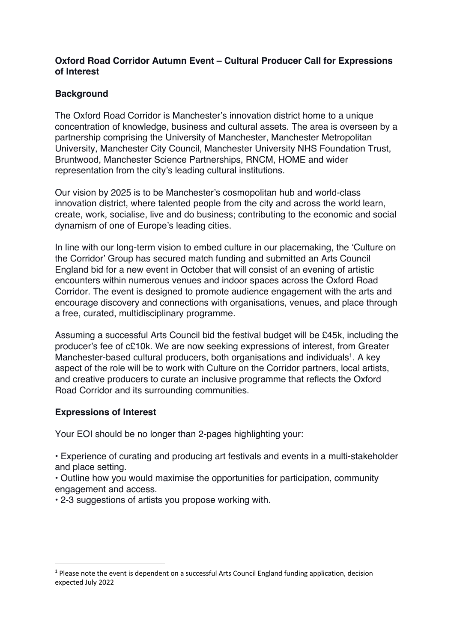## **Oxford Road Corridor Autumn Event – Cultural Producer Call for Expressions of Interest**

## **Background**

The Oxford Road Corridor is Manchester's innovation district home to a unique concentration of knowledge, business and cultural assets. The area is overseen by a partnership comprising the University of Manchester, Manchester Metropolitan University, Manchester City Council, Manchester University NHS Foundation Trust, Bruntwood, Manchester Science Partnerships, RNCM, HOME and wider representation from the city's leading cultural institutions.

Our vision by 2025 is to be Manchester's cosmopolitan hub and world-class innovation district, where talented people from the city and across the world learn, create, work, socialise, live and do business; contributing to the economic and social dynamism of one of Europe's leading cities.

In line with our long-term vision to embed culture in our placemaking, the 'Culture on the Corridor' Group has secured match funding and submitted an Arts Council England bid for a new event in October that will consist of an evening of artistic encounters within numerous venues and indoor spaces across the Oxford Road Corridor. The event is designed to promote audience engagement with the arts and encourage discovery and connections with organisations, venues, and place through a free, curated, multidisciplinary programme.

Assuming a successful Arts Council bid the festival budget will be £45k, including the producer's fee of c£10k. We are now seeking expressions of interest, from Greater Manchester-based cultural producers, both organisations and individuals<sup>1</sup>. A key aspect of the role will be to work with Culture on the Corridor partners, local artists, and creative producers to curate an inclusive programme that reflects the Oxford Road Corridor and its surrounding communities.

## **Expressions of Interest**

Your EOI should be no longer than 2-pages highlighting your:

• Experience of curating and producing art festivals and events in a multi-stakeholder and place setting.

• Outline how you would maximise the opportunities for participation, community engagement and access.

• 2-3 suggestions of artists you propose working with.

 $1$  Please note the event is dependent on a successful Arts Council England funding application, decision expected July 2022